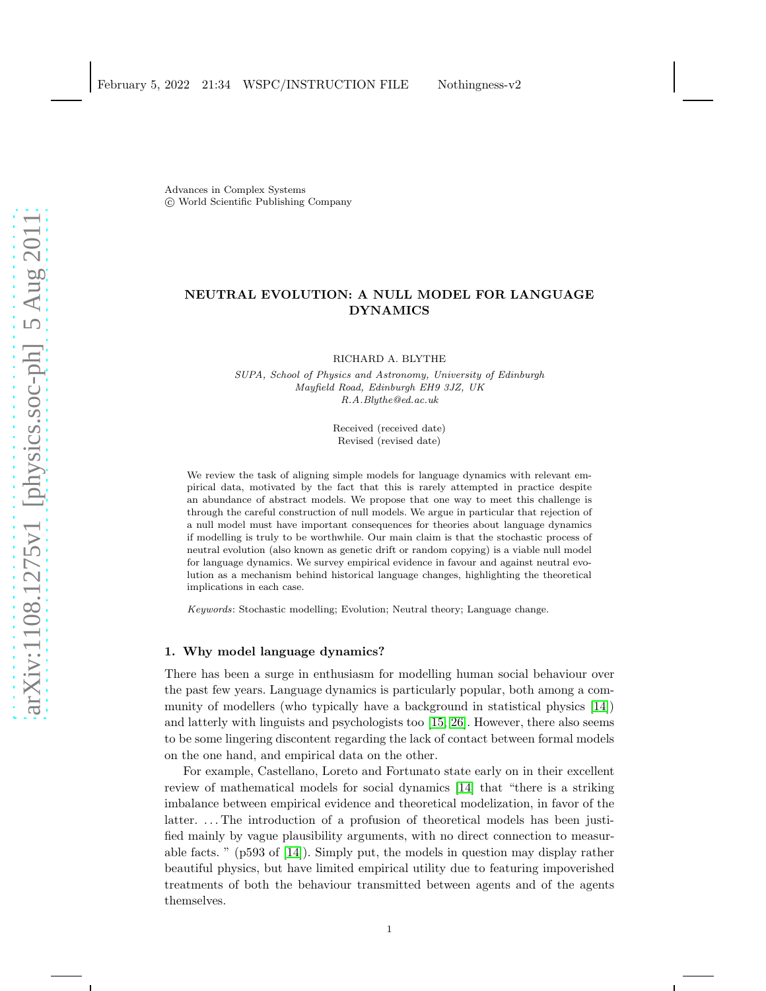Advances in Complex Systems c World Scientific Publishing Company

# NEUTRAL EVOLUTION: A NULL MODEL FOR LANGUAGE DYNAMICS

RICHARD A. BLYTHE

SUPA, School of Physics and Astronomy, University of Edinburgh Mayfield Road, Edinburgh EH9 3JZ, UK R.A.Blythe@ed.ac.uk

> Received (received date) Revised (revised date)

We review the task of aligning simple models for language dynamics with relevant empirical data, motivated by the fact that this is rarely attempted in practice despite an abundance of abstract models. We propose that one way to meet this challenge is through the careful construction of null models. We argue in particular that rejection of a null model must have important consequences for theories about language dynamics if modelling is truly to be worthwhile. Our main claim is that the stochastic process of neutral evolution (also known as genetic drift or random copying) is a viable null model for language dynamics. We survey empirical evidence in favour and against neutral evolution as a mechanism behind historical language changes, highlighting the theoretical implications in each case.

Keywords: Stochastic modelling; Evolution; Neutral theory; Language change.

## 1. Why model language dynamics?

There has been a surge in enthusiasm for modelling human social behaviour over the past few years. Language dynamics is particularly popular, both among a community of modellers (who typically have a background in statistical physics [\[14\]](#page-18-0)) and latterly with linguists and psychologists too [\[15,](#page-18-1) [26\]](#page-18-2). However, there also seems to be some lingering discontent regarding the lack of contact between formal models on the one hand, and empirical data on the other.

For example, Castellano, Loreto and Fortunato state early on in their excellent review of mathematical models for social dynamics [\[14\]](#page-18-0) that "there is a striking imbalance between empirical evidence and theoretical modelization, in favor of the latter. ... The introduction of a profusion of theoretical models has been justified mainly by vague plausibility arguments, with no direct connection to measurable facts. " (p593 of [\[14\]](#page-18-0)). Simply put, the models in question may display rather beautiful physics, but have limited empirical utility due to featuring impoverished treatments of both the behaviour transmitted between agents and of the agents themselves.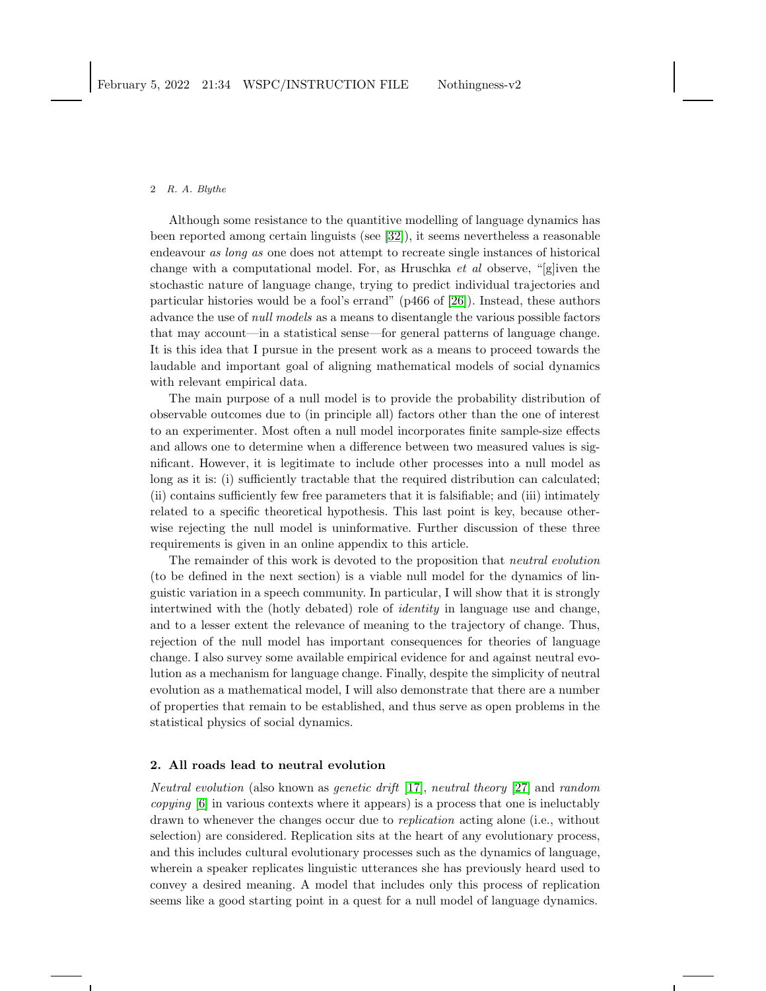Although some resistance to the quantitive modelling of language dynamics has been reported among certain linguists (see [\[32\]](#page-18-3)), it seems nevertheless a reasonable endeavour as long as one does not attempt to recreate single instances of historical change with a computational model. For, as Hruschka et al observe, "[g]iven the stochastic nature of language change, trying to predict individual trajectories and particular histories would be a fool's errand" (p466 of [\[26\]](#page-18-2)). Instead, these authors advance the use of null models as a means to disentangle the various possible factors that may account—in a statistical sense—for general patterns of language change. It is this idea that I pursue in the present work as a means to proceed towards the laudable and important goal of aligning mathematical models of social dynamics with relevant empirical data.

The main purpose of a null model is to provide the probability distribution of observable outcomes due to (in principle all) factors other than the one of interest to an experimenter. Most often a null model incorporates finite sample-size effects and allows one to determine when a difference between two measured values is significant. However, it is legitimate to include other processes into a null model as long as it is: (i) sufficiently tractable that the required distribution can calculated; (ii) contains sufficiently few free parameters that it is falsifiable; and (iii) intimately related to a specific theoretical hypothesis. This last point is key, because otherwise rejecting the null model is uninformative. Further discussion of these three requirements is given in an online appendix to this article.

The remainder of this work is devoted to the proposition that neutral evolution (to be defined in the next section) is a viable null model for the dynamics of linguistic variation in a speech community. In particular, I will show that it is strongly intertwined with the (hotly debated) role of *identity* in language use and change, and to a lesser extent the relevance of meaning to the trajectory of change. Thus, rejection of the null model has important consequences for theories of language change. I also survey some available empirical evidence for and against neutral evolution as a mechanism for language change. Finally, despite the simplicity of neutral evolution as a mathematical model, I will also demonstrate that there are a number of properties that remain to be established, and thus serve as open problems in the statistical physics of social dynamics.

# <span id="page-1-0"></span>2. All roads lead to neutral evolution

Neutral evolution (also known as genetic drift [\[17\]](#page-18-4), neutral theory [\[27\]](#page-18-5) and random copying [\[6\]](#page-17-0) in various contexts where it appears) is a process that one is ineluctably drawn to whenever the changes occur due to replication acting alone (i.e., without selection) are considered. Replication sits at the heart of any evolutionary process, and this includes cultural evolutionary processes such as the dynamics of language, wherein a speaker replicates linguistic utterances she has previously heard used to convey a desired meaning. A model that includes only this process of replication seems like a good starting point in a quest for a null model of language dynamics.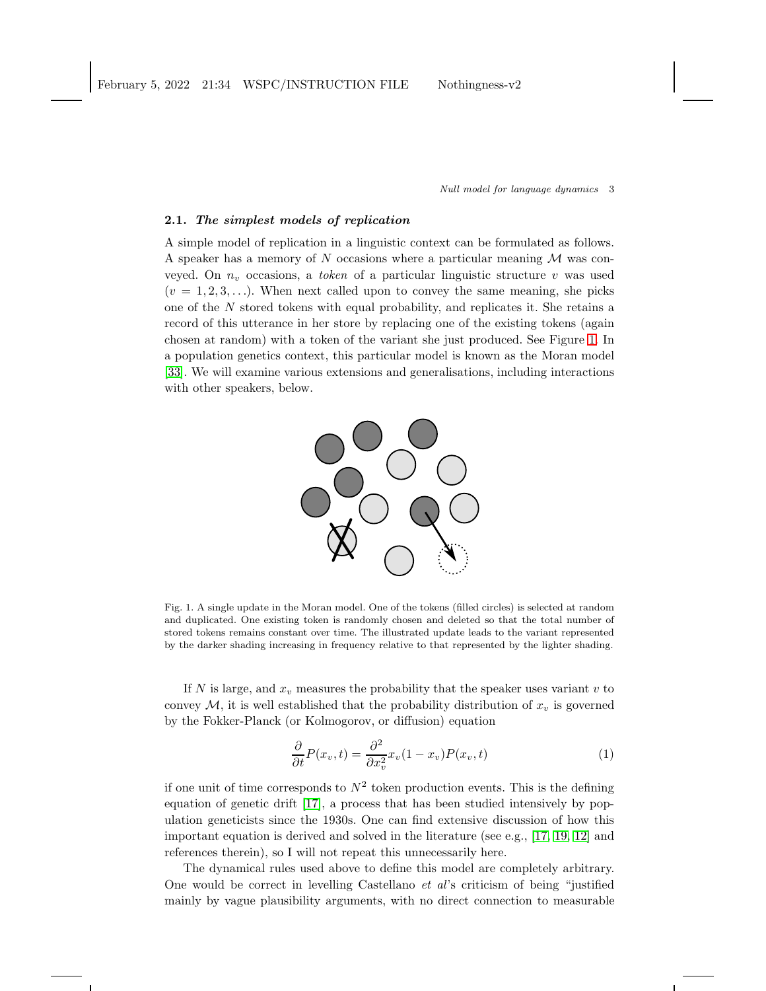# <span id="page-2-2"></span>2.1. The simplest models of replication

A simple model of replication in a linguistic context can be formulated as follows. A speaker has a memory of N occasions where a particular meaning  $\mathcal M$  was conveyed. On  $n_v$  occasions, a token of a particular linguistic structure v was used  $(v = 1, 2, 3, \ldots)$ . When next called upon to convey the same meaning, she picks one of the N stored tokens with equal probability, and replicates it. She retains a record of this utterance in her store by replacing one of the existing tokens (again chosen at random) with a token of the variant she just produced. See Figure [1.](#page-2-0) In a population genetics context, this particular model is known as the Moran model [\[33\]](#page-18-6). We will examine various extensions and generalisations, including interactions with other speakers, below.



<span id="page-2-0"></span>Fig. 1. A single update in the Moran model. One of the tokens (filled circles) is selected at random and duplicated. One existing token is randomly chosen and deleted so that the total number of stored tokens remains constant over time. The illustrated update leads to the variant represented by the darker shading increasing in frequency relative to that represented by the lighter shading.

If N is large, and  $x<sub>v</sub>$  measures the probability that the speaker uses variant v to convey  $\mathcal{M}$ , it is well established that the probability distribution of  $x_v$  is governed by the Fokker-Planck (or Kolmogorov, or diffusion) equation

<span id="page-2-1"></span>
$$
\frac{\partial}{\partial t}P(x_v,t) = \frac{\partial^2}{\partial x_v^2}x_v(1-x_v)P(x_v,t)
$$
\n(1)

if one unit of time corresponds to  $N^2$  token production events. This is the defining equation of genetic drift [\[17\]](#page-18-4), a process that has been studied intensively by population geneticists since the 1930s. One can find extensive discussion of how this important equation is derived and solved in the literature (see e.g., [\[17,](#page-18-4) [19,](#page-18-7) [12\]](#page-17-1) and references therein), so I will not repeat this unnecessarily here.

The dynamical rules used above to define this model are completely arbitrary. One would be correct in levelling Castellano et al's criticism of being "justified mainly by vague plausibility arguments, with no direct connection to measurable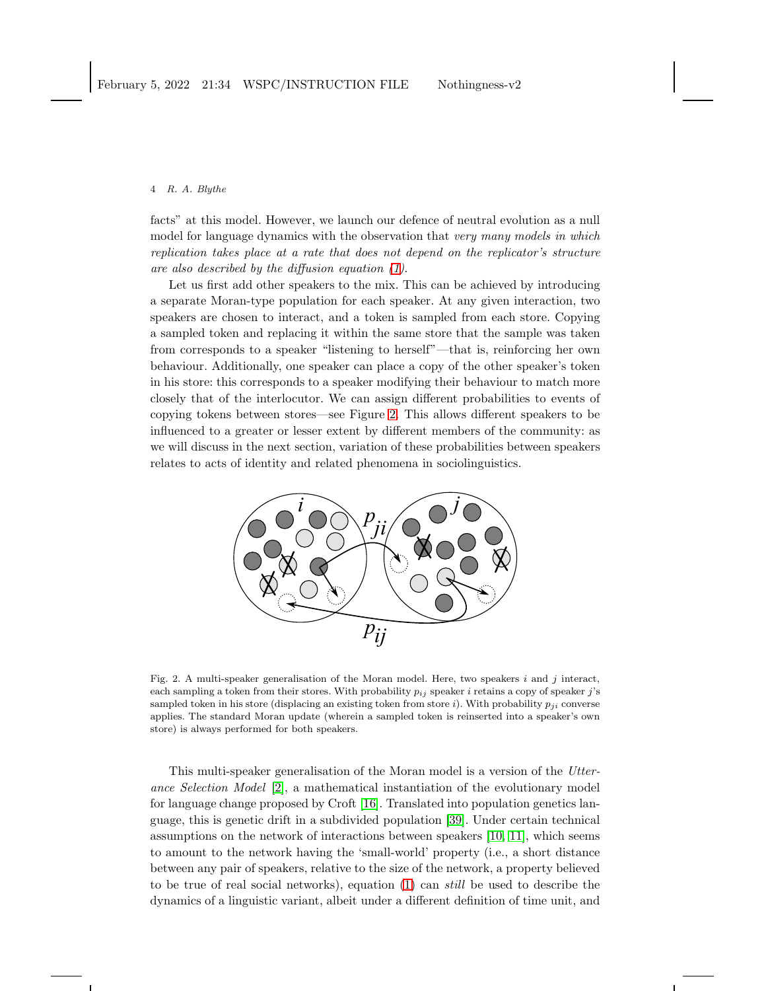facts" at this model. However, we launch our defence of neutral evolution as a null model for language dynamics with the observation that very many models in which replication takes place at a rate that does not depend on the replicator's structure are also described by the diffusion equation [\(1\)](#page-2-1).

Let us first add other speakers to the mix. This can be achieved by introducing a separate Moran-type population for each speaker. At any given interaction, two speakers are chosen to interact, and a token is sampled from each store. Copying a sampled token and replacing it within the same store that the sample was taken from corresponds to a speaker "listening to herself"—that is, reinforcing her own behaviour. Additionally, one speaker can place a copy of the other speaker's token in his store: this corresponds to a speaker modifying their behaviour to match more closely that of the interlocutor. We can assign different probabilities to events of copying tokens between stores—see Figure [2.](#page-3-0) This allows different speakers to be influenced to a greater or lesser extent by different members of the community: as we will discuss in the next section, variation of these probabilities between speakers relates to acts of identity and related phenomena in sociolinguistics.



<span id="page-3-0"></span>Fig. 2. A multi-speaker generalisation of the Moran model. Here, two speakers  $i$  and  $j$  interact, each sampling a token from their stores. With probability  $p_{ij}$  speaker i retains a copy of speaker j's sampled token in his store (displacing an existing token from store i). With probability  $p_{ji}$  converse applies. The standard Moran update (wherein a sampled token is reinserted into a speaker's own store) is always performed for both speakers.

This multi-speaker generalisation of the Moran model is a version of the Utterance Selection Model [\[2\]](#page-17-2), a mathematical instantiation of the evolutionary model for language change proposed by Croft [\[16\]](#page-18-8). Translated into population genetics language, this is genetic drift in a subdivided population [\[39\]](#page-19-0). Under certain technical assumptions on the network of interactions between speakers [\[10,](#page-17-3) [11\]](#page-17-4), which seems to amount to the network having the 'small-world' property (i.e., a short distance between any pair of speakers, relative to the size of the network, a property believed to be true of real social networks), equation [\(1\)](#page-2-1) can still be used to describe the dynamics of a linguistic variant, albeit under a different definition of time unit, and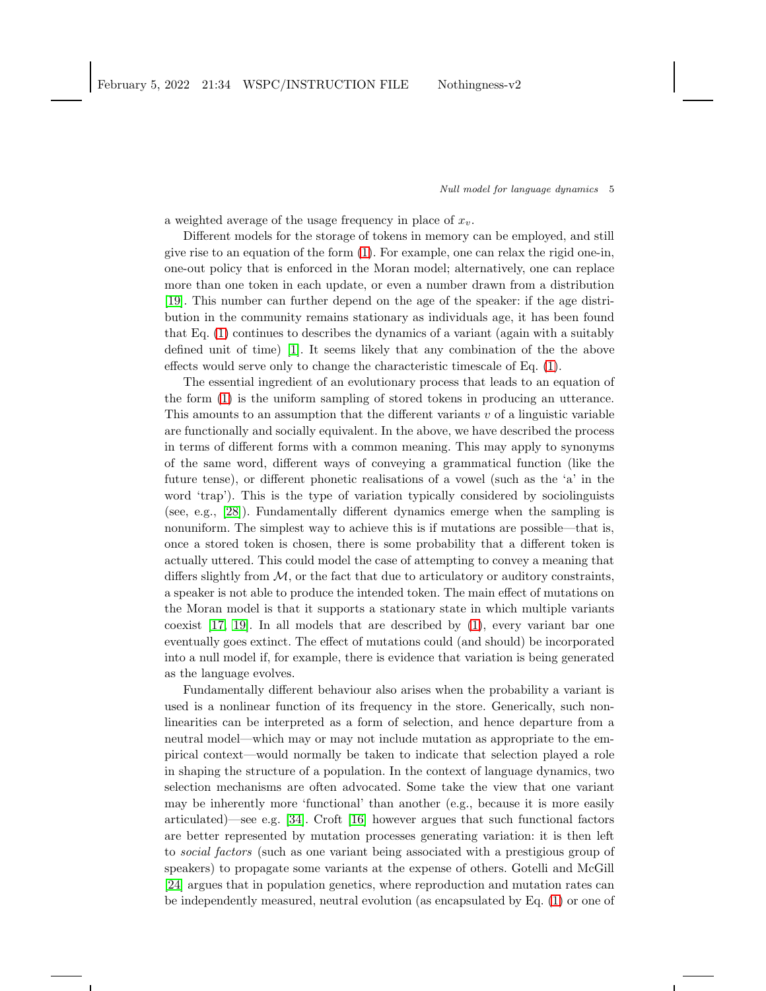a weighted average of the usage frequency in place of  $x_v$ .

Different models for the storage of tokens in memory can be employed, and still give rise to an equation of the form [\(1\)](#page-2-1). For example, one can relax the rigid one-in, one-out policy that is enforced in the Moran model; alternatively, one can replace more than one token in each update, or even a number drawn from a distribution [\[19\]](#page-18-7). This number can further depend on the age of the speaker: if the age distribution in the community remains stationary as individuals age, it has been found that Eq. [\(1\)](#page-2-1) continues to describes the dynamics of a variant (again with a suitably defined unit of time) [\[1\]](#page-17-5). It seems likely that any combination of the the above effects would serve only to change the characteristic timescale of Eq. [\(1\)](#page-2-1).

The essential ingredient of an evolutionary process that leads to an equation of the form [\(1\)](#page-2-1) is the uniform sampling of stored tokens in producing an utterance. This amounts to an assumption that the different variants  $v$  of a linguistic variable are functionally and socially equivalent. In the above, we have described the process in terms of different forms with a common meaning. This may apply to synonyms of the same word, different ways of conveying a grammatical function (like the future tense), or different phonetic realisations of a vowel (such as the 'a' in the word 'trap'). This is the type of variation typically considered by sociolinguists (see, e.g., [\[28\]](#page-18-9)). Fundamentally different dynamics emerge when the sampling is nonuniform. The simplest way to achieve this is if mutations are possible—that is, once a stored token is chosen, there is some probability that a different token is actually uttered. This could model the case of attempting to convey a meaning that differs slightly from  $M$ , or the fact that due to articulatory or auditory constraints, a speaker is not able to produce the intended token. The main effect of mutations on the Moran model is that it supports a stationary state in which multiple variants coexist  $[17, 19]$  $[17, 19]$ . In all models that are described by  $(1)$ , every variant bar one eventually goes extinct. The effect of mutations could (and should) be incorporated into a null model if, for example, there is evidence that variation is being generated as the language evolves.

Fundamentally different behaviour also arises when the probability a variant is used is a nonlinear function of its frequency in the store. Generically, such nonlinearities can be interpreted as a form of selection, and hence departure from a neutral model—which may or may not include mutation as appropriate to the empirical context—would normally be taken to indicate that selection played a role in shaping the structure of a population. In the context of language dynamics, two selection mechanisms are often advocated. Some take the view that one variant may be inherently more 'functional' than another (e.g., because it is more easily articulated)—see e.g. [\[34\]](#page-18-10). Croft [\[16\]](#page-18-8) however argues that such functional factors are better represented by mutation processes generating variation: it is then left to social factors (such as one variant being associated with a prestigious group of speakers) to propagate some variants at the expense of others. Gotelli and McGill [\[24\]](#page-18-11) argues that in population genetics, where reproduction and mutation rates can be independently measured, neutral evolution (as encapsulated by Eq. [\(1\)](#page-2-1) or one of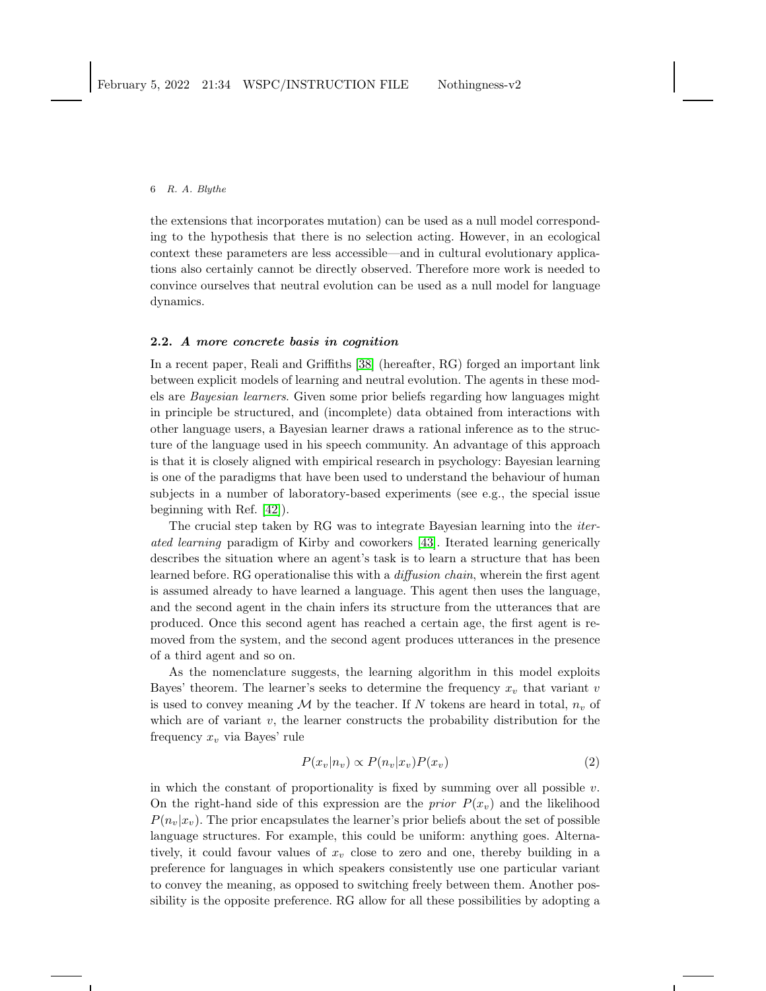the extensions that incorporates mutation) can be used as a null model corresponding to the hypothesis that there is no selection acting. However, in an ecological context these parameters are less accessible—and in cultural evolutionary applications also certainly cannot be directly observed. Therefore more work is needed to convince ourselves that neutral evolution can be used as a null model for language dynamics.

#### 2.2. A more concrete basis in cognition

In a recent paper, Reali and Griffiths [\[38\]](#page-19-1) (hereafter, RG) forged an important link between explicit models of learning and neutral evolution. The agents in these models are Bayesian learners. Given some prior beliefs regarding how languages might in principle be structured, and (incomplete) data obtained from interactions with other language users, a Bayesian learner draws a rational inference as to the structure of the language used in his speech community. An advantage of this approach is that it is closely aligned with empirical research in psychology: Bayesian learning is one of the paradigms that have been used to understand the behaviour of human subjects in a number of laboratory-based experiments (see e.g., the special issue beginning with Ref. [\[42\]](#page-19-2)).

The crucial step taken by RG was to integrate Bayesian learning into the iterated learning paradigm of Kirby and coworkers [\[43\]](#page-19-3). Iterated learning generically describes the situation where an agent's task is to learn a structure that has been learned before. RG operationalise this with a *diffusion chain*, wherein the first agent is assumed already to have learned a language. This agent then uses the language, and the second agent in the chain infers its structure from the utterances that are produced. Once this second agent has reached a certain age, the first agent is removed from the system, and the second agent produces utterances in the presence of a third agent and so on.

As the nomenclature suggests, the learning algorithm in this model exploits Bayes' theorem. The learner's seeks to determine the frequency  $x_v$  that variant v is used to convey meaning  $\mathcal M$  by the teacher. If N tokens are heard in total,  $n_v$  of which are of variant  $v$ , the learner constructs the probability distribution for the frequency  $x_v$  via Bayes' rule

$$
P(x_v|n_v) \propto P(n_v|x_v)P(x_v) \tag{2}
$$

in which the constant of proportionality is fixed by summing over all possible  $v$ . On the right-hand side of this expression are the *prior*  $P(x_v)$  and the likelihood  $P(n_v|x_v)$ . The prior encapsulates the learner's prior beliefs about the set of possible language structures. For example, this could be uniform: anything goes. Alternatively, it could favour values of  $x<sub>v</sub>$  close to zero and one, thereby building in a preference for languages in which speakers consistently use one particular variant to convey the meaning, as opposed to switching freely between them. Another possibility is the opposite preference. RG allow for all these possibilities by adopting a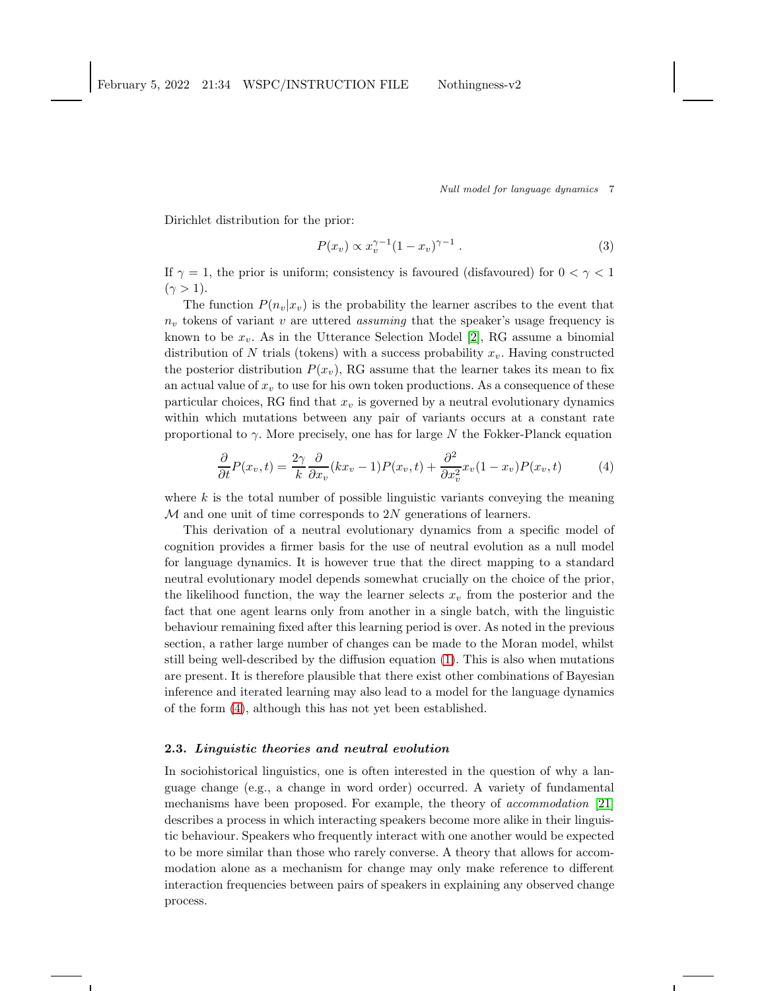Dirichlet distribution for the prior:

$$
P(x_v) \propto x_v^{\gamma - 1} (1 - x_v)^{\gamma - 1} . \tag{3}
$$

If  $\gamma = 1$ , the prior is uniform; consistency is favoured (disfavoured) for  $0 < \gamma < 1$  $(\gamma > 1).$ 

The function  $P(n_v|x_v)$  is the probability the learner ascribes to the event that  $n_v$  tokens of variant v are uttered assuming that the speaker's usage frequency is known to be  $x_v$ . As in the Utterance Selection Model [\[2\]](#page-17-2), RG assume a binomial distribution of N trials (tokens) with a success probability  $x_v$ . Having constructed the posterior distribution  $P(x_v)$ , RG assume that the learner takes its mean to fix an actual value of  $x_v$  to use for his own token productions. As a consequence of these particular choices, RG find that  $x_v$  is governed by a neutral evolutionary dynamics within which mutations between any pair of variants occurs at a constant rate proportional to  $\gamma$ . More precisely, one has for large N the Fokker-Planck equation

<span id="page-6-0"></span>
$$
\frac{\partial}{\partial t}P(x_v,t) = \frac{2\gamma}{k} \frac{\partial}{\partial x_v} (kx_v - 1)P(x_v,t) + \frac{\partial^2}{\partial x_v^2} x_v (1 - x_v)P(x_v,t) \tag{4}
$$

where  $k$  is the total number of possible linguistic variants conveying the meaning  $M$  and one unit of time corresponds to 2N generations of learners.

This derivation of a neutral evolutionary dynamics from a specific model of cognition provides a firmer basis for the use of neutral evolution as a null model for language dynamics. It is however true that the direct mapping to a standard neutral evolutionary model depends somewhat crucially on the choice of the prior, the likelihood function, the way the learner selects  $x<sub>v</sub>$  from the posterior and the fact that one agent learns only from another in a single batch, with the linguistic behaviour remaining fixed after this learning period is over. As noted in the previous section, a rather large number of changes can be made to the Moran model, whilst still being well-described by the diffusion equation [\(1\)](#page-2-1). This is also when mutations are present. It is therefore plausible that there exist other combinations of Bayesian inference and iterated learning may also lead to a model for the language dynamics of the form [\(4\)](#page-6-0), although this has not yet been established.

# 2.3. Linguistic theories and neutral evolution

In sociohistorical linguistics, one is often interested in the question of why a language change (e.g., a change in word order) occurred. A variety of fundamental mechanisms have been proposed. For example, the theory of accommodation [\[21\]](#page-18-12) describes a process in which interacting speakers become more alike in their linguistic behaviour. Speakers who frequently interact with one another would be expected to be more similar than those who rarely converse. A theory that allows for accommodation alone as a mechanism for change may only make reference to different interaction frequencies between pairs of speakers in explaining any observed change process.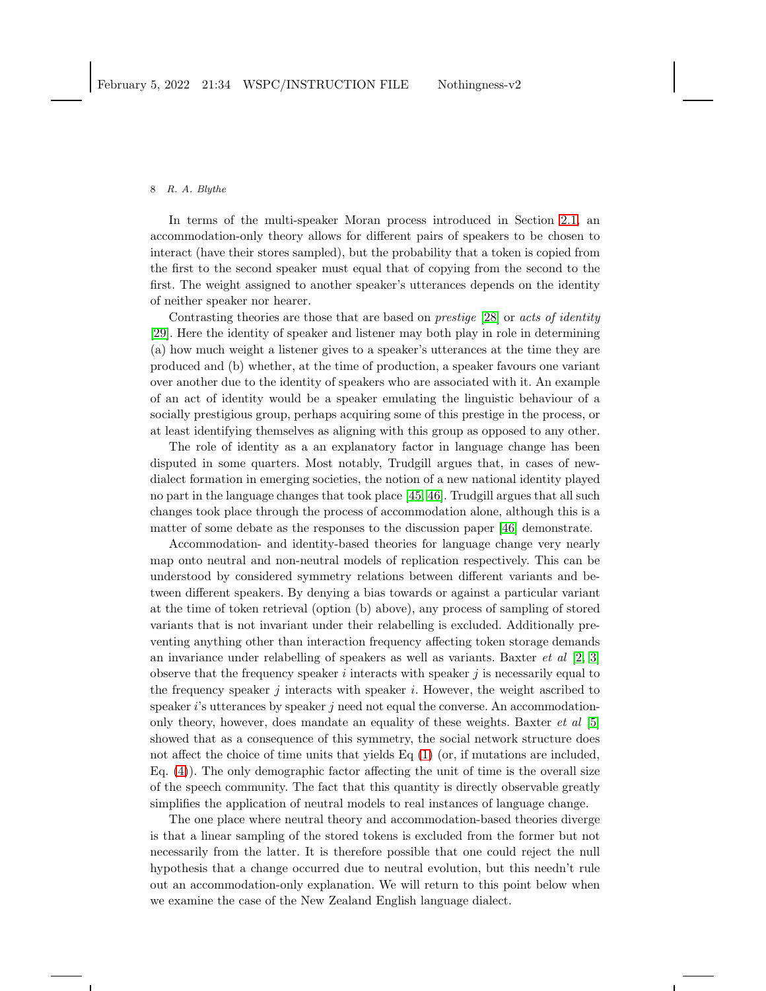In terms of the multi-speaker Moran process introduced in Section [2.1,](#page-2-2) an accommodation-only theory allows for different pairs of speakers to be chosen to interact (have their stores sampled), but the probability that a token is copied from the first to the second speaker must equal that of copying from the second to the first. The weight assigned to another speaker's utterances depends on the identity of neither speaker nor hearer.

Contrasting theories are those that are based on prestige [\[28\]](#page-18-9) or acts of identity [\[29\]](#page-18-13). Here the identity of speaker and listener may both play in role in determining (a) how much weight a listener gives to a speaker's utterances at the time they are produced and (b) whether, at the time of production, a speaker favours one variant over another due to the identity of speakers who are associated with it. An example of an act of identity would be a speaker emulating the linguistic behaviour of a socially prestigious group, perhaps acquiring some of this prestige in the process, or at least identifying themselves as aligning with this group as opposed to any other.

The role of identity as a an explanatory factor in language change has been disputed in some quarters. Most notably, Trudgill argues that, in cases of newdialect formation in emerging societies, the notion of a new national identity played no part in the language changes that took place [\[45,](#page-19-4) [46\]](#page-19-5). Trudgill argues that all such changes took place through the process of accommodation alone, although this is a matter of some debate as the responses to the discussion paper [\[46\]](#page-19-5) demonstrate.

Accommodation- and identity-based theories for language change very nearly map onto neutral and non-neutral models of replication respectively. This can be understood by considered symmetry relations between different variants and between different speakers. By denying a bias towards or against a particular variant at the time of token retrieval (option (b) above), any process of sampling of stored variants that is not invariant under their relabelling is excluded. Additionally preventing anything other than interaction frequency affecting token storage demands an invariance under relabelling of speakers as well as variants. Baxter *et al*  $[2, 3]$  $[2, 3]$ observe that the frequency speaker  $i$  interacts with speaker  $j$  is necessarily equal to the frequency speaker  $i$  interacts with speaker  $i$ . However, the weight ascribed to speaker i's utterances by speaker  $j$  need not equal the converse. An accommodationonly theory, however, does mandate an equality of these weights. Baxter  $et \ al$  [\[5\]](#page-17-7) showed that as a consequence of this symmetry, the social network structure does not affect the choice of time units that yields Eq  $(1)$  (or, if mutations are included, Eq. [\(4\)](#page-6-0)). The only demographic factor affecting the unit of time is the overall size of the speech community. The fact that this quantity is directly observable greatly simplifies the application of neutral models to real instances of language change.

The one place where neutral theory and accommodation-based theories diverge is that a linear sampling of the stored tokens is excluded from the former but not necessarily from the latter. It is therefore possible that one could reject the null hypothesis that a change occurred due to neutral evolution, but this needn't rule out an accommodation-only explanation. We will return to this point below when we examine the case of the New Zealand English language dialect.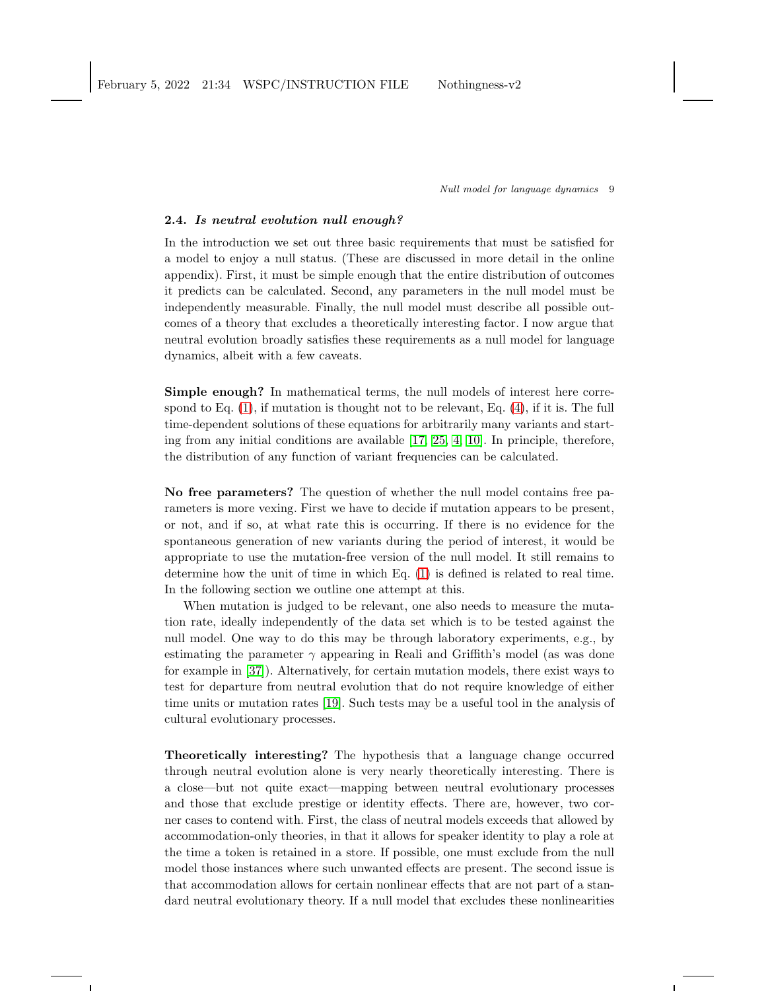# 2.4. Is neutral evolution null enough?

In the introduction we set out three basic requirements that must be satisfied for a model to enjoy a null status. (These are discussed in more detail in the online appendix). First, it must be simple enough that the entire distribution of outcomes it predicts can be calculated. Second, any parameters in the null model must be independently measurable. Finally, the null model must describe all possible outcomes of a theory that excludes a theoretically interesting factor. I now argue that neutral evolution broadly satisfies these requirements as a null model for language dynamics, albeit with a few caveats.

Simple enough? In mathematical terms, the null models of interest here correspond to Eq.  $(1)$ , if mutation is thought not to be relevant, Eq.  $(4)$ , if it is. The full time-dependent solutions of these equations for arbitrarily many variants and starting from any initial conditions are available [\[17,](#page-18-4) [25,](#page-18-14) [4,](#page-17-8) [10\]](#page-17-3). In principle, therefore, the distribution of any function of variant frequencies can be calculated.

No free parameters? The question of whether the null model contains free parameters is more vexing. First we have to decide if mutation appears to be present, or not, and if so, at what rate this is occurring. If there is no evidence for the spontaneous generation of new variants during the period of interest, it would be appropriate to use the mutation-free version of the null model. It still remains to determine how the unit of time in which Eq. [\(1\)](#page-2-1) is defined is related to real time. In the following section we outline one attempt at this.

When mutation is judged to be relevant, one also needs to measure the mutation rate, ideally independently of the data set which is to be tested against the null model. One way to do this may be through laboratory experiments, e.g., by estimating the parameter  $\gamma$  appearing in Reali and Griffith's model (as was done for example in [\[37\]](#page-18-15)). Alternatively, for certain mutation models, there exist ways to test for departure from neutral evolution that do not require knowledge of either time units or mutation rates [\[19\]](#page-18-7). Such tests may be a useful tool in the analysis of cultural evolutionary processes.

Theoretically interesting? The hypothesis that a language change occurred through neutral evolution alone is very nearly theoretically interesting. There is a close—but not quite exact—mapping between neutral evolutionary processes and those that exclude prestige or identity effects. There are, however, two corner cases to contend with. First, the class of neutral models exceeds that allowed by accommodation-only theories, in that it allows for speaker identity to play a role at the time a token is retained in a store. If possible, one must exclude from the null model those instances where such unwanted effects are present. The second issue is that accommodation allows for certain nonlinear effects that are not part of a standard neutral evolutionary theory. If a null model that excludes these nonlinearities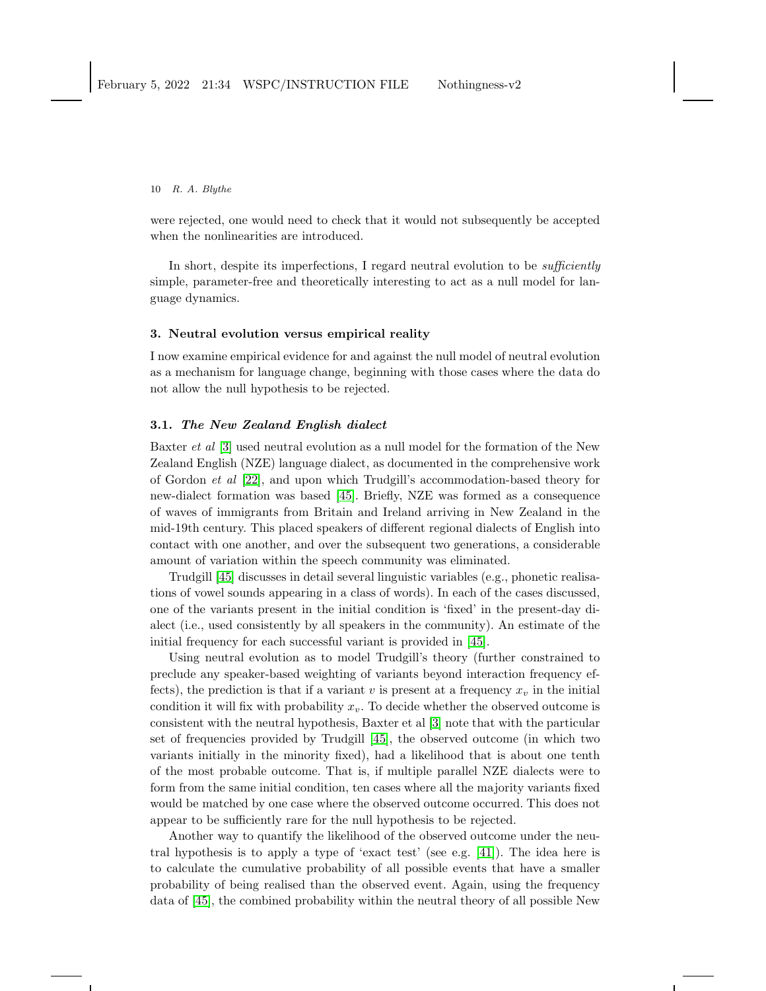were rejected, one would need to check that it would not subsequently be accepted when the nonlinearities are introduced.

In short, despite its imperfections, I regard neutral evolution to be *sufficiently* simple, parameter-free and theoretically interesting to act as a null model for language dynamics.

#### <span id="page-9-0"></span>3. Neutral evolution versus empirical reality

I now examine empirical evidence for and against the null model of neutral evolution as a mechanism for language change, beginning with those cases where the data do not allow the null hypothesis to be rejected.

## 3.1. The New Zealand English dialect

Baxter et al [\[3\]](#page-17-6) used neutral evolution as a null model for the formation of the New Zealand English (NZE) language dialect, as documented in the comprehensive work of Gordon et al [\[22\]](#page-18-16), and upon which Trudgill's accommodation-based theory for new-dialect formation was based [\[45\]](#page-19-4). Briefly, NZE was formed as a consequence of waves of immigrants from Britain and Ireland arriving in New Zealand in the mid-19th century. This placed speakers of different regional dialects of English into contact with one another, and over the subsequent two generations, a considerable amount of variation within the speech community was eliminated.

Trudgill [\[45\]](#page-19-4) discusses in detail several linguistic variables (e.g., phonetic realisations of vowel sounds appearing in a class of words). In each of the cases discussed, one of the variants present in the initial condition is 'fixed' in the present-day dialect (i.e., used consistently by all speakers in the community). An estimate of the initial frequency for each successful variant is provided in [\[45\]](#page-19-4).

Using neutral evolution as to model Trudgill's theory (further constrained to preclude any speaker-based weighting of variants beyond interaction frequency effects), the prediction is that if a variant v is present at a frequency  $x<sub>v</sub>$  in the initial condition it will fix with probability  $x_v$ . To decide whether the observed outcome is consistent with the neutral hypothesis, Baxter et al [\[3\]](#page-17-6) note that with the particular set of frequencies provided by Trudgill [\[45\]](#page-19-4), the observed outcome (in which two variants initially in the minority fixed), had a likelihood that is about one tenth of the most probable outcome. That is, if multiple parallel NZE dialects were to form from the same initial condition, ten cases where all the majority variants fixed would be matched by one case where the observed outcome occurred. This does not appear to be sufficiently rare for the null hypothesis to be rejected.

Another way to quantify the likelihood of the observed outcome under the neutral hypothesis is to apply a type of 'exact test' (see e.g. [\[41\]](#page-19-6)). The idea here is to calculate the cumulative probability of all possible events that have a smaller probability of being realised than the observed event. Again, using the frequency data of [\[45\]](#page-19-4), the combined probability within the neutral theory of all possible New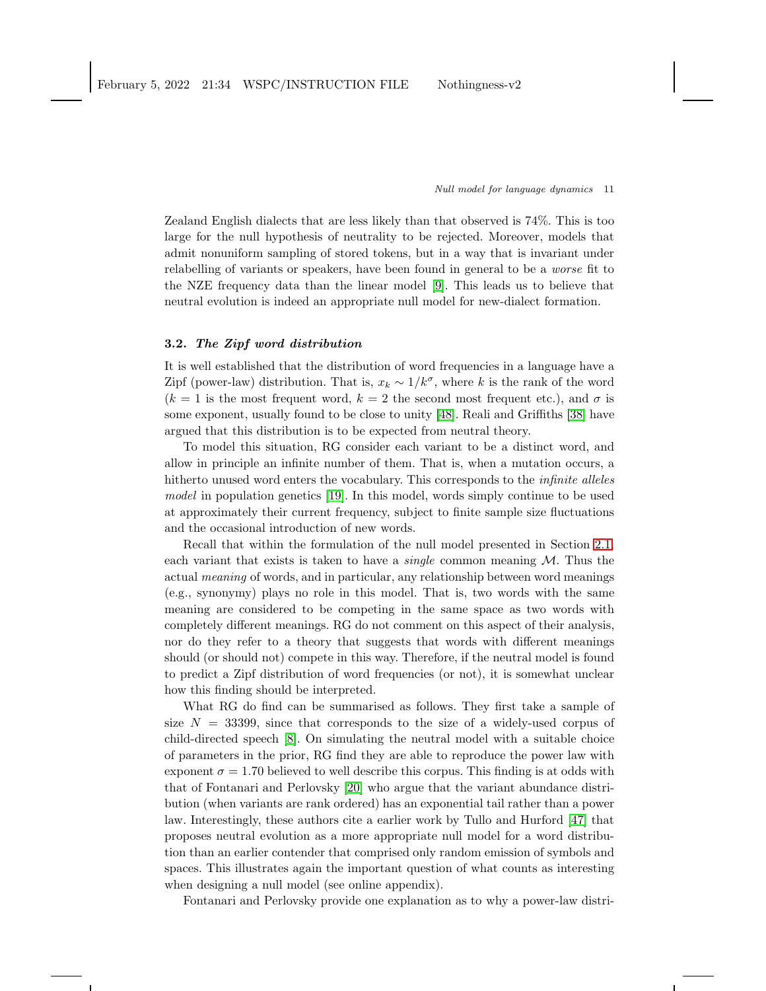Zealand English dialects that are less likely than that observed is 74%. This is too large for the null hypothesis of neutrality to be rejected. Moreover, models that admit nonuniform sampling of stored tokens, but in a way that is invariant under relabelling of variants or speakers, have been found in general to be a worse fit to the NZE frequency data than the linear model [\[9\]](#page-17-9). This leads us to believe that neutral evolution is indeed an appropriate null model for new-dialect formation.

# 3.2. The Zipf word distribution

It is well established that the distribution of word frequencies in a language have a Zipf (power-law) distribution. That is,  $x_k \sim 1/k^{\sigma}$ , where k is the rank of the word  $(k = 1$  is the most frequent word,  $k = 2$  the second most frequent etc.), and  $\sigma$  is some exponent, usually found to be close to unity [\[48\]](#page-19-7). Reali and Griffiths [\[38\]](#page-19-1) have argued that this distribution is to be expected from neutral theory.

To model this situation, RG consider each variant to be a distinct word, and allow in principle an infinite number of them. That is, when a mutation occurs, a hitherto unused word enters the vocabulary. This corresponds to the *infinite alleles* model in population genetics [\[19\]](#page-18-7). In this model, words simply continue to be used at approximately their current frequency, subject to finite sample size fluctuations and the occasional introduction of new words.

Recall that within the formulation of the null model presented in Section [2.1,](#page-2-2) each variant that exists is taken to have a *single* common meaning  $M$ . Thus the actual meaning of words, and in particular, any relationship between word meanings (e.g., synonymy) plays no role in this model. That is, two words with the same meaning are considered to be competing in the same space as two words with completely different meanings. RG do not comment on this aspect of their analysis, nor do they refer to a theory that suggests that words with different meanings should (or should not) compete in this way. Therefore, if the neutral model is found to predict a Zipf distribution of word frequencies (or not), it is somewhat unclear how this finding should be interpreted.

What RG do find can be summarised as follows. They first take a sample of size  $N = 33399$ , since that corresponds to the size of a widely-used corpus of child-directed speech [\[8\]](#page-17-10). On simulating the neutral model with a suitable choice of parameters in the prior, RG find they are able to reproduce the power law with exponent  $\sigma = 1.70$  believed to well describe this corpus. This finding is at odds with that of Fontanari and Perlovsky [\[20\]](#page-18-17) who argue that the variant abundance distribution (when variants are rank ordered) has an exponential tail rather than a power law. Interestingly, these authors cite a earlier work by Tullo and Hurford [\[47\]](#page-19-8) that proposes neutral evolution as a more appropriate null model for a word distribution than an earlier contender that comprised only random emission of symbols and spaces. This illustrates again the important question of what counts as interesting when designing a null model (see online appendix).

Fontanari and Perlovsky provide one explanation as to why a power-law distri-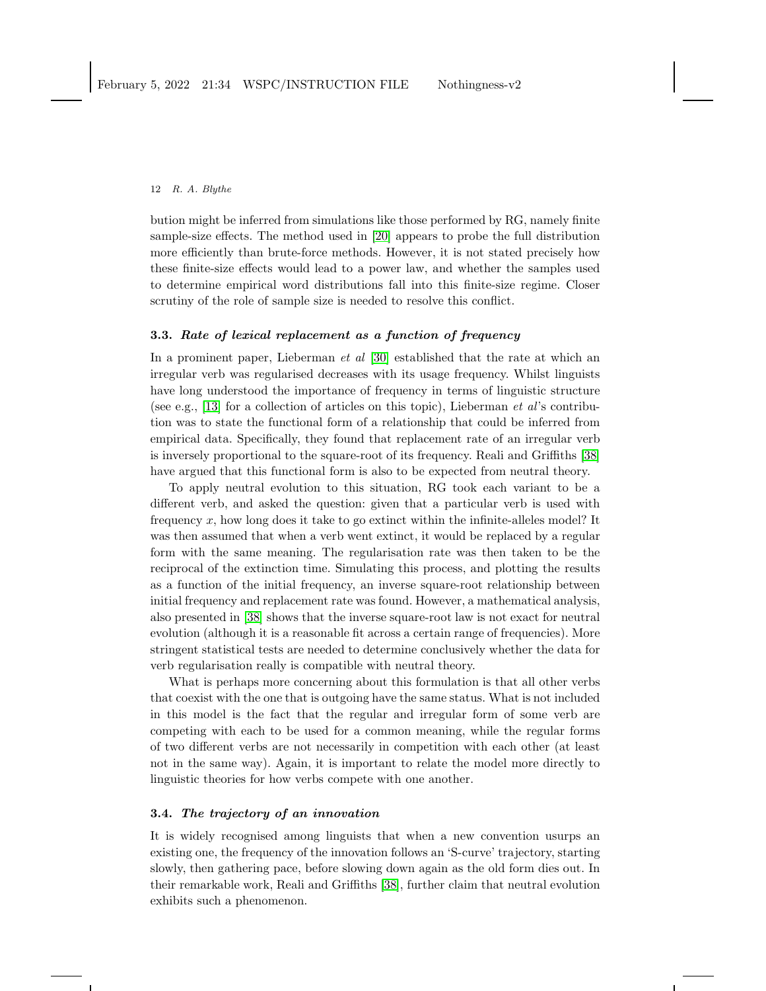bution might be inferred from simulations like those performed by RG, namely finite sample-size effects. The method used in [\[20\]](#page-18-17) appears to probe the full distribution more efficiently than brute-force methods. However, it is not stated precisely how these finite-size effects would lead to a power law, and whether the samples used to determine empirical word distributions fall into this finite-size regime. Closer scrutiny of the role of sample size is needed to resolve this conflict.

# 3.3. Rate of lexical replacement as a function of frequency

In a prominent paper, Lieberman et al [\[30\]](#page-18-18) established that the rate at which an irregular verb was regularised decreases with its usage frequency. Whilst linguists have long understood the importance of frequency in terms of linguistic structure (see e.g., [\[13\]](#page-18-19) for a collection of articles on this topic), Lieberman et al's contribution was to state the functional form of a relationship that could be inferred from empirical data. Specifically, they found that replacement rate of an irregular verb is inversely proportional to the square-root of its frequency. Reali and Griffiths [\[38\]](#page-19-1) have argued that this functional form is also to be expected from neutral theory.

To apply neutral evolution to this situation, RG took each variant to be a different verb, and asked the question: given that a particular verb is used with frequency  $x$ , how long does it take to go extinct within the infinite-alleles model? It was then assumed that when a verb went extinct, it would be replaced by a regular form with the same meaning. The regularisation rate was then taken to be the reciprocal of the extinction time. Simulating this process, and plotting the results as a function of the initial frequency, an inverse square-root relationship between initial frequency and replacement rate was found. However, a mathematical analysis, also presented in [\[38\]](#page-19-1) shows that the inverse square-root law is not exact for neutral evolution (although it is a reasonable fit across a certain range of frequencies). More stringent statistical tests are needed to determine conclusively whether the data for verb regularisation really is compatible with neutral theory.

What is perhaps more concerning about this formulation is that all other verbs that coexist with the one that is outgoing have the same status. What is not included in this model is the fact that the regular and irregular form of some verb are competing with each to be used for a common meaning, while the regular forms of two different verbs are not necessarily in competition with each other (at least not in the same way). Again, it is important to relate the model more directly to linguistic theories for how verbs compete with one another.

# 3.4. The trajectory of an innovation

It is widely recognised among linguists that when a new convention usurps an existing one, the frequency of the innovation follows an 'S-curve' trajectory, starting slowly, then gathering pace, before slowing down again as the old form dies out. In their remarkable work, Reali and Griffiths [\[38\]](#page-19-1), further claim that neutral evolution exhibits such a phenomenon.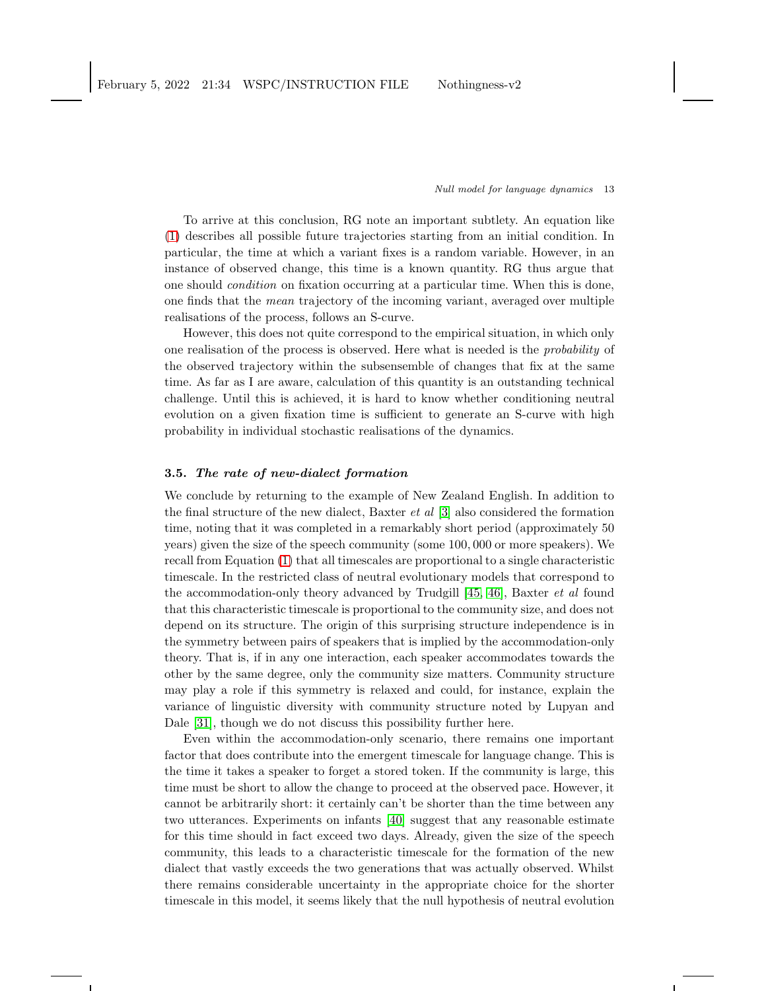#### Null model for language dynamics 13

To arrive at this conclusion, RG note an important subtlety. An equation like [\(1\)](#page-2-1) describes all possible future trajectories starting from an initial condition. In particular, the time at which a variant fixes is a random variable. However, in an instance of observed change, this time is a known quantity. RG thus argue that one should condition on fixation occurring at a particular time. When this is done, one finds that the mean trajectory of the incoming variant, averaged over multiple realisations of the process, follows an S-curve.

However, this does not quite correspond to the empirical situation, in which only one realisation of the process is observed. Here what is needed is the probability of the observed trajectory within the subsensemble of changes that fix at the same time. As far as I are aware, calculation of this quantity is an outstanding technical challenge. Until this is achieved, it is hard to know whether conditioning neutral evolution on a given fixation time is sufficient to generate an S-curve with high probability in individual stochastic realisations of the dynamics.

# 3.5. The rate of new-dialect formation

We conclude by returning to the example of New Zealand English. In addition to the final structure of the new dialect, Baxter et al [\[3\]](#page-17-6) also considered the formation time, noting that it was completed in a remarkably short period (approximately 50 years) given the size of the speech community (some 100, 000 or more speakers). We recall from Equation [\(1\)](#page-2-1) that all timescales are proportional to a single characteristic timescale. In the restricted class of neutral evolutionary models that correspond to the accommodation-only theory advanced by Trudgill [\[45,](#page-19-4) [46\]](#page-19-5), Baxter et al found that this characteristic timescale is proportional to the community size, and does not depend on its structure. The origin of this surprising structure independence is in the symmetry between pairs of speakers that is implied by the accommodation-only theory. That is, if in any one interaction, each speaker accommodates towards the other by the same degree, only the community size matters. Community structure may play a role if this symmetry is relaxed and could, for instance, explain the variance of linguistic diversity with community structure noted by Lupyan and Dale [\[31\]](#page-18-20), though we do not discuss this possibility further here.

Even within the accommodation-only scenario, there remains one important factor that does contribute into the emergent timescale for language change. This is the time it takes a speaker to forget a stored token. If the community is large, this time must be short to allow the change to proceed at the observed pace. However, it cannot be arbitrarily short: it certainly can't be shorter than the time between any two utterances. Experiments on infants [\[40\]](#page-19-9) suggest that any reasonable estimate for this time should in fact exceed two days. Already, given the size of the speech community, this leads to a characteristic timescale for the formation of the new dialect that vastly exceeds the two generations that was actually observed. Whilst there remains considerable uncertainty in the appropriate choice for the shorter timescale in this model, it seems likely that the null hypothesis of neutral evolution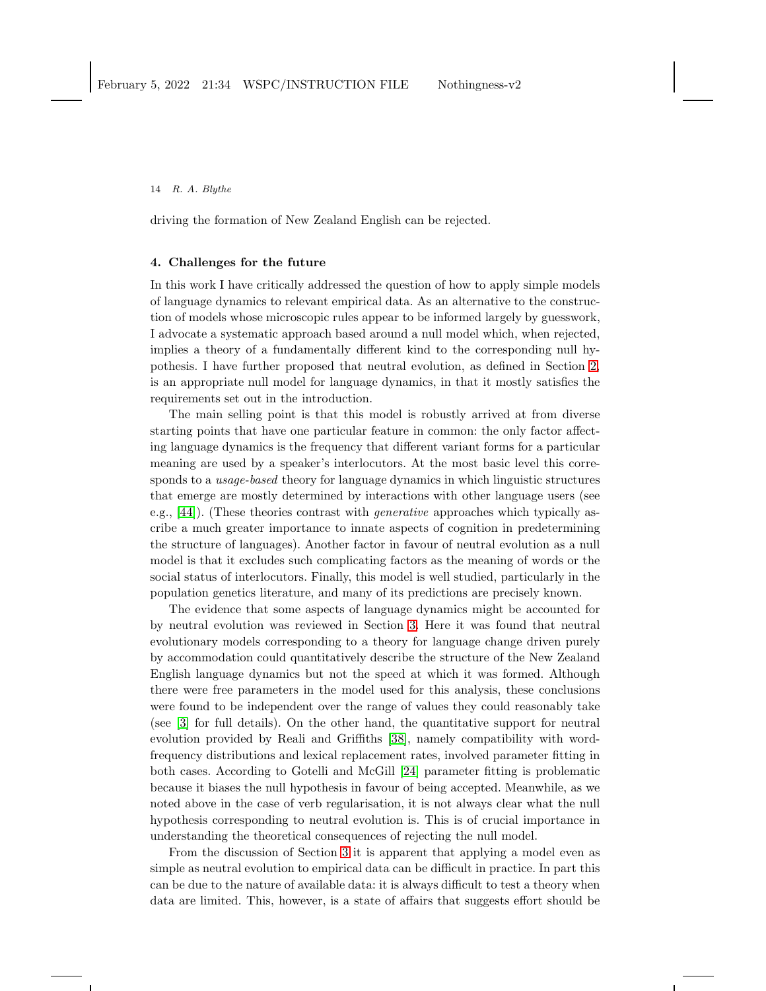driving the formation of New Zealand English can be rejected.

# 4. Challenges for the future

In this work I have critically addressed the question of how to apply simple models of language dynamics to relevant empirical data. As an alternative to the construction of models whose microscopic rules appear to be informed largely by guesswork, I advocate a systematic approach based around a null model which, when rejected, implies a theory of a fundamentally different kind to the corresponding null hypothesis. I have further proposed that neutral evolution, as defined in Section [2,](#page-1-0) is an appropriate null model for language dynamics, in that it mostly satisfies the requirements set out in the introduction.

The main selling point is that this model is robustly arrived at from diverse starting points that have one particular feature in common: the only factor affecting language dynamics is the frequency that different variant forms for a particular meaning are used by a speaker's interlocutors. At the most basic level this corresponds to a *usage-based* theory for language dynamics in which linguistic structures that emerge are mostly determined by interactions with other language users (see e.g.,  $[44]$ ). (These theories contrast with *generative* approaches which typically ascribe a much greater importance to innate aspects of cognition in predetermining the structure of languages). Another factor in favour of neutral evolution as a null model is that it excludes such complicating factors as the meaning of words or the social status of interlocutors. Finally, this model is well studied, particularly in the population genetics literature, and many of its predictions are precisely known.

The evidence that some aspects of language dynamics might be accounted for by neutral evolution was reviewed in Section [3.](#page-9-0) Here it was found that neutral evolutionary models corresponding to a theory for language change driven purely by accommodation could quantitatively describe the structure of the New Zealand English language dynamics but not the speed at which it was formed. Although there were free parameters in the model used for this analysis, these conclusions were found to be independent over the range of values they could reasonably take (see [\[3\]](#page-17-6) for full details). On the other hand, the quantitative support for neutral evolution provided by Reali and Griffiths [\[38\]](#page-19-1), namely compatibility with wordfrequency distributions and lexical replacement rates, involved parameter fitting in both cases. According to Gotelli and McGill [\[24\]](#page-18-11) parameter fitting is problematic because it biases the null hypothesis in favour of being accepted. Meanwhile, as we noted above in the case of verb regularisation, it is not always clear what the null hypothesis corresponding to neutral evolution is. This is of crucial importance in understanding the theoretical consequences of rejecting the null model.

From the discussion of Section [3](#page-9-0) it is apparent that applying a model even as simple as neutral evolution to empirical data can be difficult in practice. In part this can be due to the nature of available data: it is always difficult to test a theory when data are limited. This, however, is a state of affairs that suggests effort should be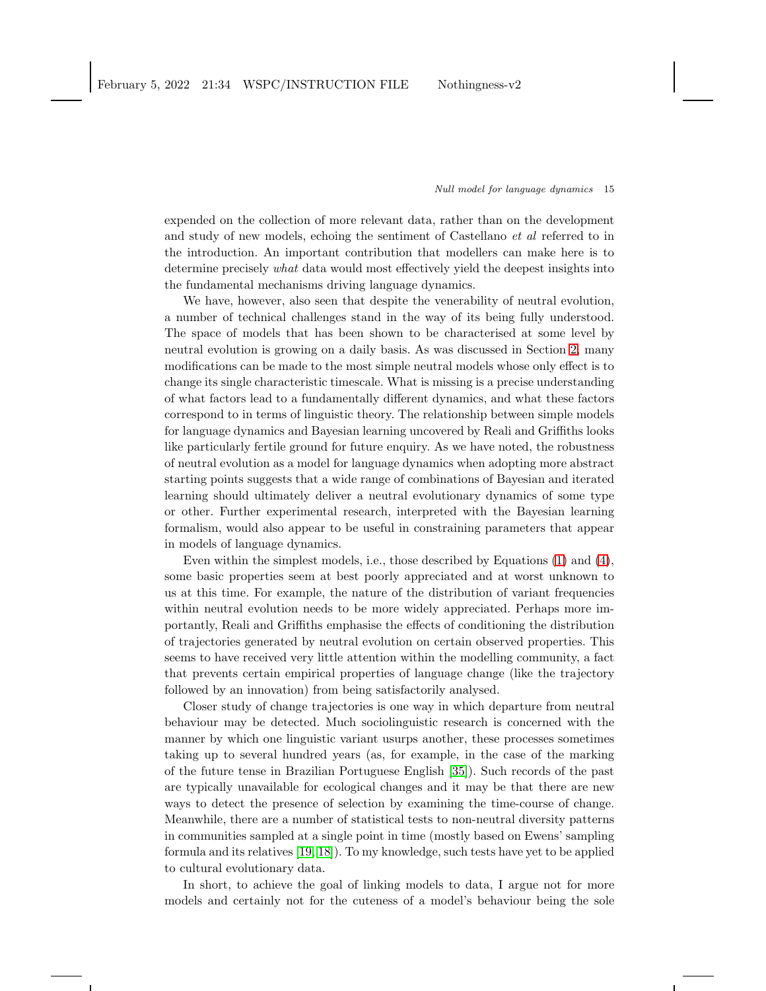#### Null model for language dynamics 15

expended on the collection of more relevant data, rather than on the development and study of new models, echoing the sentiment of Castellano et al referred to in the introduction. An important contribution that modellers can make here is to determine precisely what data would most effectively yield the deepest insights into the fundamental mechanisms driving language dynamics.

We have, however, also seen that despite the venerability of neutral evolution, a number of technical challenges stand in the way of its being fully understood. The space of models that has been shown to be characterised at some level by neutral evolution is growing on a daily basis. As was discussed in Section [2,](#page-1-0) many modifications can be made to the most simple neutral models whose only effect is to change its single characteristic timescale. What is missing is a precise understanding of what factors lead to a fundamentally different dynamics, and what these factors correspond to in terms of linguistic theory. The relationship between simple models for language dynamics and Bayesian learning uncovered by Reali and Griffiths looks like particularly fertile ground for future enquiry. As we have noted, the robustness of neutral evolution as a model for language dynamics when adopting more abstract starting points suggests that a wide range of combinations of Bayesian and iterated learning should ultimately deliver a neutral evolutionary dynamics of some type or other. Further experimental research, interpreted with the Bayesian learning formalism, would also appear to be useful in constraining parameters that appear in models of language dynamics.

Even within the simplest models, i.e., those described by Equations [\(1\)](#page-2-1) and [\(4\)](#page-6-0), some basic properties seem at best poorly appreciated and at worst unknown to us at this time. For example, the nature of the distribution of variant frequencies within neutral evolution needs to be more widely appreciated. Perhaps more importantly, Reali and Griffiths emphasise the effects of conditioning the distribution of trajectories generated by neutral evolution on certain observed properties. This seems to have received very little attention within the modelling community, a fact that prevents certain empirical properties of language change (like the trajectory followed by an innovation) from being satisfactorily analysed.

Closer study of change trajectories is one way in which departure from neutral behaviour may be detected. Much sociolinguistic research is concerned with the manner by which one linguistic variant usurps another, these processes sometimes taking up to several hundred years (as, for example, in the case of the marking of the future tense in Brazilian Portuguese English [\[35\]](#page-18-21)). Such records of the past are typically unavailable for ecological changes and it may be that there are new ways to detect the presence of selection by examining the time-course of change. Meanwhile, there are a number of statistical tests to non-neutral diversity patterns in communities sampled at a single point in time (mostly based on Ewens' sampling formula and its relatives [\[19,](#page-18-7) [18\]](#page-18-22)). To my knowledge, such tests have yet to be applied to cultural evolutionary data.

In short, to achieve the goal of linking models to data, I argue not for more models and certainly not for the cuteness of a model's behaviour being the sole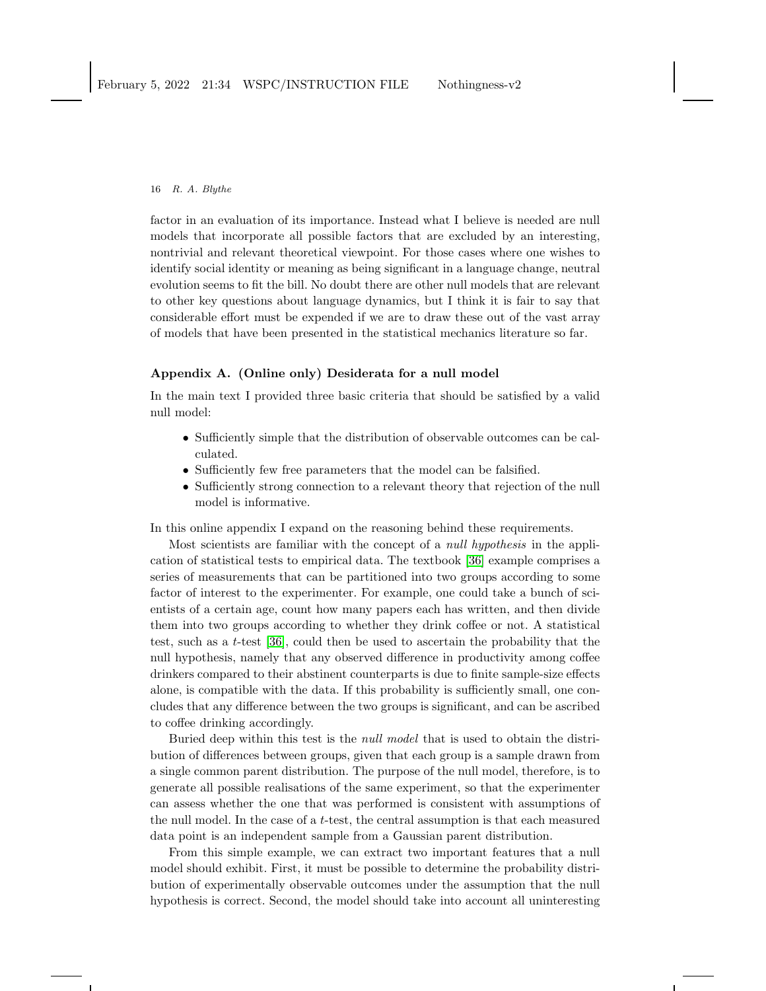factor in an evaluation of its importance. Instead what I believe is needed are null models that incorporate all possible factors that are excluded by an interesting, nontrivial and relevant theoretical viewpoint. For those cases where one wishes to identify social identity or meaning as being significant in a language change, neutral evolution seems to fit the bill. No doubt there are other null models that are relevant to other key questions about language dynamics, but I think it is fair to say that considerable effort must be expended if we are to draw these out of the vast array of models that have been presented in the statistical mechanics literature so far.

## Appendix A. (Online only) Desiderata for a null model

In the main text I provided three basic criteria that should be satisfied by a valid null model:

- Sufficiently simple that the distribution of observable outcomes can be calculated.
- Sufficiently few free parameters that the model can be falsified.
- Sufficiently strong connection to a relevant theory that rejection of the null model is informative.

In this online appendix I expand on the reasoning behind these requirements.

Most scientists are familiar with the concept of a null hypothesis in the application of statistical tests to empirical data. The textbook [\[36\]](#page-18-23) example comprises a series of measurements that can be partitioned into two groups according to some factor of interest to the experimenter. For example, one could take a bunch of scientists of a certain age, count how many papers each has written, and then divide them into two groups according to whether they drink coffee or not. A statistical test, such as a  $t$ -test [\[36\]](#page-18-23), could then be used to ascertain the probability that the null hypothesis, namely that any observed difference in productivity among coffee drinkers compared to their abstinent counterparts is due to finite sample-size effects alone, is compatible with the data. If this probability is sufficiently small, one concludes that any difference between the two groups is significant, and can be ascribed to coffee drinking accordingly.

Buried deep within this test is the *null model* that is used to obtain the distribution of differences between groups, given that each group is a sample drawn from a single common parent distribution. The purpose of the null model, therefore, is to generate all possible realisations of the same experiment, so that the experimenter can assess whether the one that was performed is consistent with assumptions of the null model. In the case of a  $t$ -test, the central assumption is that each measured data point is an independent sample from a Gaussian parent distribution.

From this simple example, we can extract two important features that a null model should exhibit. First, it must be possible to determine the probability distribution of experimentally observable outcomes under the assumption that the null hypothesis is correct. Second, the model should take into account all uninteresting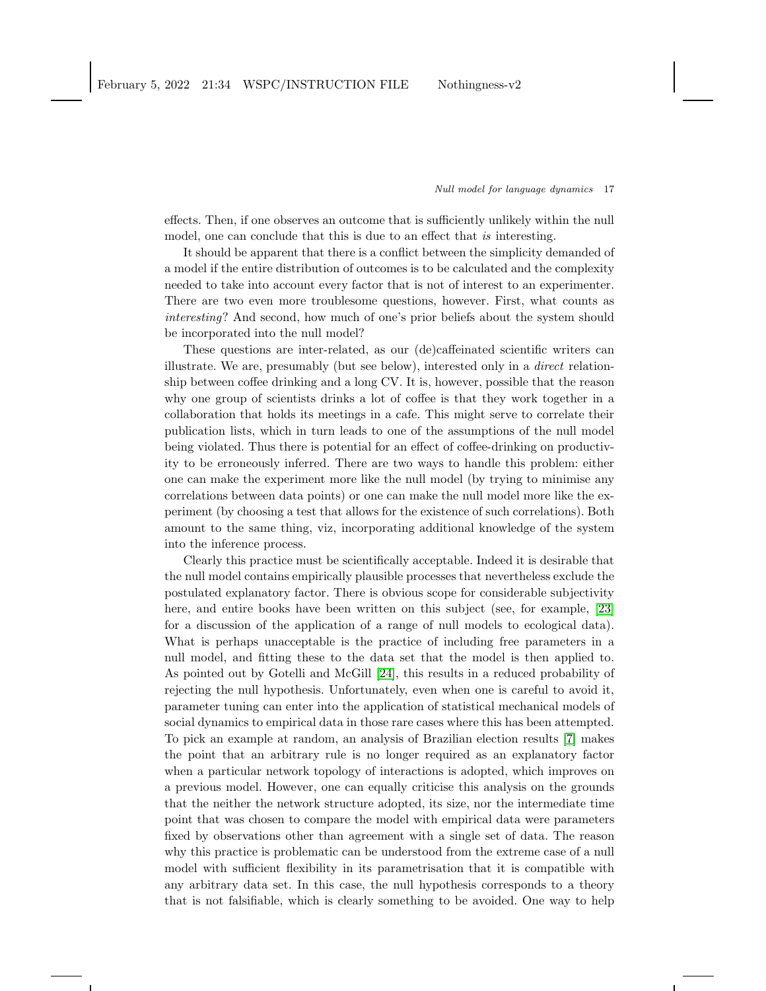#### Null model for language dynamics 17

effects. Then, if one observes an outcome that is sufficiently unlikely within the null model, one can conclude that this is due to an effect that is interesting.

It should be apparent that there is a conflict between the simplicity demanded of a model if the entire distribution of outcomes is to be calculated and the complexity needed to take into account every factor that is not of interest to an experimenter. There are two even more troublesome questions, however. First, what counts as interesting? And second, how much of one's prior beliefs about the system should be incorporated into the null model?

These questions are inter-related, as our (de)caffeinated scientific writers can illustrate. We are, presumably (but see below), interested only in a direct relationship between coffee drinking and a long CV. It is, however, possible that the reason why one group of scientists drinks a lot of coffee is that they work together in a collaboration that holds its meetings in a cafe. This might serve to correlate their publication lists, which in turn leads to one of the assumptions of the null model being violated. Thus there is potential for an effect of coffee-drinking on productivity to be erroneously inferred. There are two ways to handle this problem: either one can make the experiment more like the null model (by trying to minimise any correlations between data points) or one can make the null model more like the experiment (by choosing a test that allows for the existence of such correlations). Both amount to the same thing, viz, incorporating additional knowledge of the system into the inference process.

Clearly this practice must be scientifically acceptable. Indeed it is desirable that the null model contains empirically plausible processes that nevertheless exclude the postulated explanatory factor. There is obvious scope for considerable subjectivity here, and entire books have been written on this subject (see, for example, [\[23\]](#page-18-24) for a discussion of the application of a range of null models to ecological data). What is perhaps unacceptable is the practice of including free parameters in a null model, and fitting these to the data set that the model is then applied to. As pointed out by Gotelli and McGill [\[24\]](#page-18-11), this results in a reduced probability of rejecting the null hypothesis. Unfortunately, even when one is careful to avoid it, parameter tuning can enter into the application of statistical mechanical models of social dynamics to empirical data in those rare cases where this has been attempted. To pick an example at random, an analysis of Brazilian election results [\[7\]](#page-17-11) makes the point that an arbitrary rule is no longer required as an explanatory factor when a particular network topology of interactions is adopted, which improves on a previous model. However, one can equally criticise this analysis on the grounds that the neither the network structure adopted, its size, nor the intermediate time point that was chosen to compare the model with empirical data were parameters fixed by observations other than agreement with a single set of data. The reason why this practice is problematic can be understood from the extreme case of a null model with sufficient flexibility in its parametrisation that it is compatible with any arbitrary data set. In this case, the null hypothesis corresponds to a theory that is not falsifiable, which is clearly something to be avoided. One way to help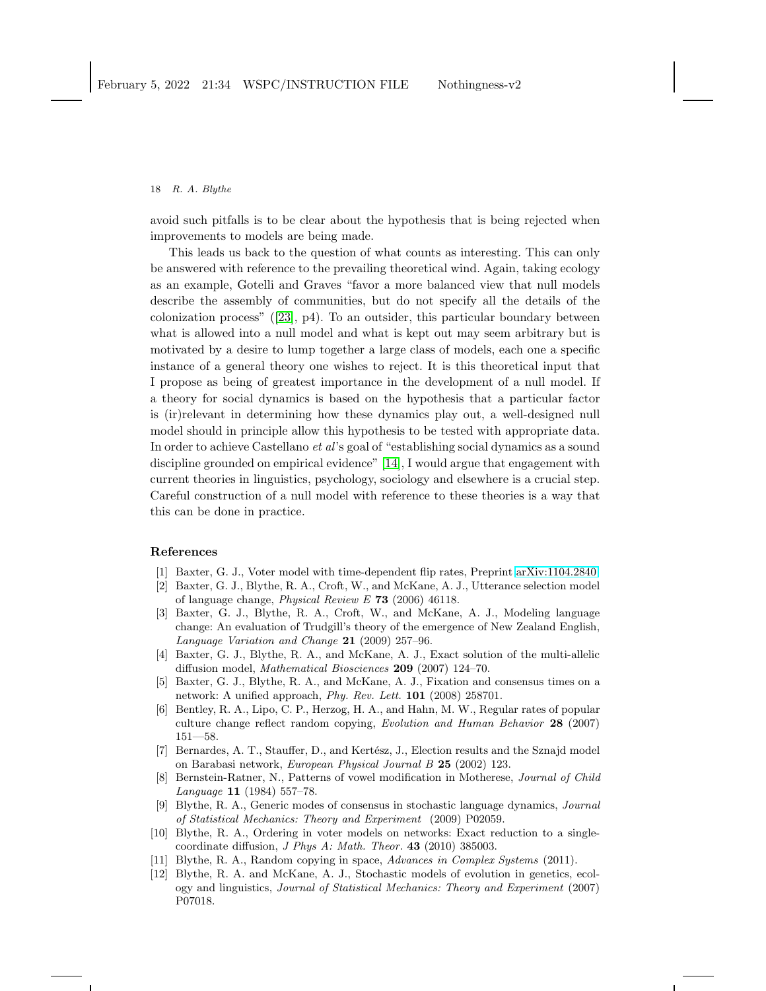avoid such pitfalls is to be clear about the hypothesis that is being rejected when improvements to models are being made.

This leads us back to the question of what counts as interesting. This can only be answered with reference to the prevailing theoretical wind. Again, taking ecology as an example, Gotelli and Graves "favor a more balanced view that null models describe the assembly of communities, but do not specify all the details of the colonization process" ([\[23\]](#page-18-24), p4). To an outsider, this particular boundary between what is allowed into a null model and what is kept out may seem arbitrary but is motivated by a desire to lump together a large class of models, each one a specific instance of a general theory one wishes to reject. It is this theoretical input that I propose as being of greatest importance in the development of a null model. If a theory for social dynamics is based on the hypothesis that a particular factor is (ir)relevant in determining how these dynamics play out, a well-designed null model should in principle allow this hypothesis to be tested with appropriate data. In order to achieve Castellano et al's goal of "establishing social dynamics as a sound discipline grounded on empirical evidence" [\[14\]](#page-18-0), I would argue that engagement with current theories in linguistics, psychology, sociology and elsewhere is a crucial step. Careful construction of a null model with reference to these theories is a way that this can be done in practice.

# <span id="page-17-5"></span>References

- <span id="page-17-2"></span>[1] Baxter, G. J., Voter model with time-dependent flip rates, Preprint [arXiv:1104.2840.](http://arxiv.org/abs/1104.2840)
- [2] Baxter, G. J., Blythe, R. A., Croft, W., and McKane, A. J., Utterance selection model of language change, *Physical Review E*  $73$  (2006) 46118.
- <span id="page-17-6"></span>[3] Baxter, G. J., Blythe, R. A., Croft, W., and McKane, A. J., Modeling language change: An evaluation of Trudgill's theory of the emergence of New Zealand English, Language Variation and Change  $21$  (2009) 257–96.
- <span id="page-17-8"></span>[4] Baxter, G. J., Blythe, R. A., and McKane, A. J., Exact solution of the multi-allelic diffusion model, Mathematical Biosciences 209 (2007) 124–70.
- <span id="page-17-7"></span>[5] Baxter, G. J., Blythe, R. A., and McKane, A. J., Fixation and consensus times on a network: A unified approach, *Phy. Rev. Lett.* **101** (2008) 258701.
- <span id="page-17-0"></span>[6] Bentley, R. A., Lipo, C. P., Herzog, H. A., and Hahn, M. W., Regular rates of popular culture change reflect random copying, Evolution and Human Behavior 28 (2007) 151—58.
- <span id="page-17-11"></span>[7] Bernardes, A. T., Stauffer, D., and Kertész, J., Election results and the Sznajd model on Barabasi network, European Physical Journal B 25 (2002) 123.
- <span id="page-17-10"></span>[8] Bernstein-Ratner, N., Patterns of vowel modification in Motherese, Journal of Child Language 11 (1984) 557–78.
- <span id="page-17-9"></span>[9] Blythe, R. A., Generic modes of consensus in stochastic language dynamics, Journal of Statistical Mechanics: Theory and Experiment (2009) P02059.
- <span id="page-17-3"></span>[10] Blythe, R. A., Ordering in voter models on networks: Exact reduction to a singlecoordinate diffusion, J Phys A: Math. Theor. 43 (2010) 385003.
- <span id="page-17-4"></span><span id="page-17-1"></span>[11] Blythe, R. A., Random copying in space, Advances in Complex Systems (2011).
- [12] Blythe, R. A. and McKane, A. J., Stochastic models of evolution in genetics, ecology and linguistics, Journal of Statistical Mechanics: Theory and Experiment (2007) P07018.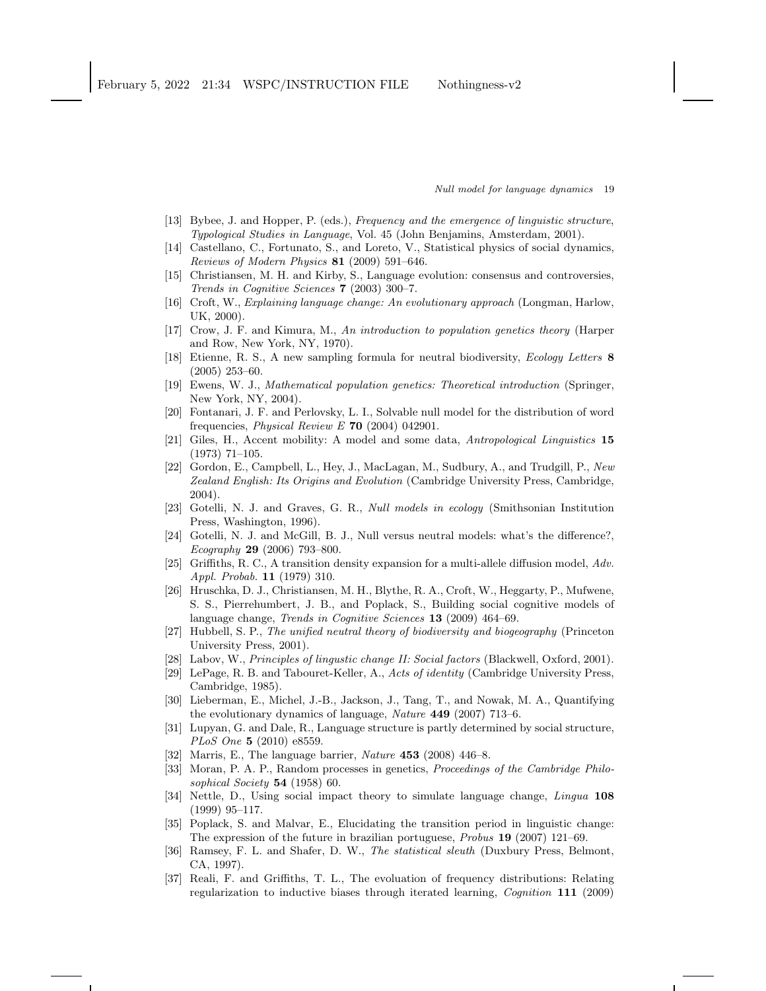Null model for language dynamics 19

- <span id="page-18-19"></span>[13] Bybee, J. and Hopper, P. (eds.), Frequency and the emergence of linguistic structure, Typological Studies in Language, Vol. 45 (John Benjamins, Amsterdam, 2001).
- <span id="page-18-0"></span>[14] Castellano, C., Fortunato, S., and Loreto, V., Statistical physics of social dynamics, Reviews of Modern Physics 81 (2009) 591–646.
- <span id="page-18-1"></span>[15] Christiansen, M. H. and Kirby, S., Language evolution: consensus and controversies, Trends in Cognitive Sciences 7 (2003) 300–7.
- <span id="page-18-8"></span>[16] Croft, W., Explaining language change: An evolutionary approach (Longman, Harlow, UK, 2000).
- <span id="page-18-4"></span>[17] Crow, J. F. and Kimura, M., An introduction to population genetics theory (Harper and Row, New York, NY, 1970).
- <span id="page-18-22"></span>[18] Etienne, R. S., A new sampling formula for neutral biodiversity, Ecology Letters 8 (2005) 253–60.
- <span id="page-18-7"></span>[19] Ewens, W. J., Mathematical population genetics: Theoretical introduction (Springer, New York, NY, 2004).
- <span id="page-18-17"></span>[20] Fontanari, J. F. and Perlovsky, L. I., Solvable null model for the distribution of word frequencies, *Physical Review E* 70 (2004) 042901.
- <span id="page-18-12"></span>[21] Giles, H., Accent mobility: A model and some data, Antropological Linguistics 15 (1973) 71–105.
- <span id="page-18-16"></span>[22] Gordon, E., Campbell, L., Hey, J., MacLagan, M., Sudbury, A., and Trudgill, P., New Zealand English: Its Origins and Evolution (Cambridge University Press, Cambridge, 2004).
- <span id="page-18-24"></span>[23] Gotelli, N. J. and Graves, G. R., Null models in ecology (Smithsonian Institution Press, Washington, 1996).
- <span id="page-18-11"></span>[24] Gotelli, N. J. and McGill, B. J., Null versus neutral models: what's the difference?, Ecography 29 (2006) 793–800.
- <span id="page-18-14"></span>[25] Griffiths, R. C., A transition density expansion for a multi-allele diffusion model, Adv. Appl. Probab. 11 (1979) 310.
- <span id="page-18-2"></span>[26] Hruschka, D. J., Christiansen, M. H., Blythe, R. A., Croft, W., Heggarty, P., Mufwene, S. S., Pierrehumbert, J. B., and Poplack, S., Building social cognitive models of language change, Trends in Cognitive Sciences 13 (2009) 464–69.
- <span id="page-18-5"></span>[27] Hubbell, S. P., The unified neutral theory of biodiversity and biogeography (Princeton University Press, 2001).
- <span id="page-18-13"></span><span id="page-18-9"></span>[28] Labov, W., Principles of lingustic change II: Social factors (Blackwell, Oxford, 2001).
- [29] LePage, R. B. and Tabouret-Keller, A., Acts of identity (Cambridge University Press, Cambridge, 1985).
- <span id="page-18-18"></span>[30] Lieberman, E., Michel, J.-B., Jackson, J., Tang, T., and Nowak, M. A., Quantifying the evolutionary dynamics of language, Nature 449 (2007) 713–6.
- <span id="page-18-20"></span>[31] Lupyan, G. and Dale, R., Language structure is partly determined by social structure, PLoS One 5 (2010) e8559.
- <span id="page-18-6"></span><span id="page-18-3"></span>[32] Marris, E., The language barrier, Nature 453 (2008) 446–8.
- [33] Moran, P. A. P., Random processes in genetics, Proceedings of the Cambridge Philosophical Society 54 (1958) 60.
- <span id="page-18-10"></span>[34] Nettle, D., Using social impact theory to simulate language change, Lingua 108 (1999) 95–117.
- <span id="page-18-21"></span>[35] Poplack, S. and Malvar, E., Elucidating the transition period in linguistic change: The expression of the future in brazilian portuguese, Probus 19 (2007) 121–69.
- <span id="page-18-23"></span>[36] Ramsey, F. L. and Shafer, D. W., The statistical sleuth (Duxbury Press, Belmont, CA, 1997).
- <span id="page-18-15"></span>[37] Reali, F. and Griffiths, T. L., The evoluation of frequency distributions: Relating regularization to inductive biases through iterated learning, Cognition 111 (2009)